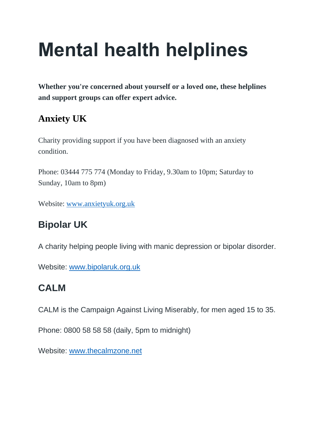# **Mental health helplines**

**Whether you're concerned about yourself or a loved one, these helplines and support groups can offer expert advice.**

#### **Anxiety UK**

Charity providing support if you have been diagnosed with an anxiety condition.

Phone: 03444 775 774 (Monday to Friday, 9.30am to 10pm; Saturday to Sunday, 10am to 8pm)

Website: [www.anxietyuk.org.uk](http://www.anxietyuk.org.uk/)

#### **Bipolar UK**

A charity helping people living with manic depression or bipolar disorder.

Website: [www.bipolaruk.org.uk](http://www.bipolaruk.org.uk/)

#### **CALM**

CALM is the Campaign Against Living Miserably, for men aged 15 to 35.

Phone: 0800 58 58 58 (daily, 5pm to midnight)

Website: [www.thecalmzone.net](http://www.thecalmzone.net/)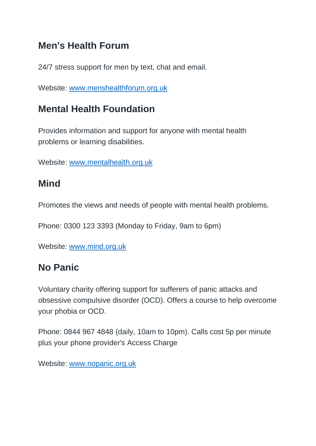#### **Men's Health Forum**

24/7 stress support for men by text, chat and email.

Website: [www.menshealthforum.org.uk](https://www.menshealthforum.org.uk/beatstress.uk)

#### **Mental Health Foundation**

Provides information and support for anyone with mental health problems or learning disabilities.

Website: [www.mentalhealth.org.uk](http://www.mentalhealth.org.uk/)

#### **Mind**

Promotes the views and needs of people with mental health problems.

Phone: 0300 123 3393 (Monday to Friday, 9am to 6pm)

Website: [www.mind.org.uk](http://www.mind.org.uk/)

#### **No Panic**

Voluntary charity offering support for sufferers of panic attacks and obsessive compulsive disorder (OCD). Offers a course to help overcome your phobia or OCD.

Phone: 0844 967 4848 (daily, 10am to 10pm). Calls cost 5p per minute plus your phone provider's Access Charge

Website: [www.nopanic.org.uk](http://www.nopanic.org.uk/)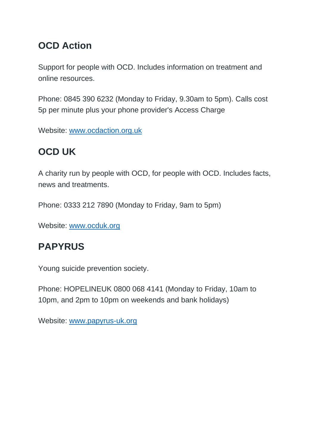#### **OCD Action**

Support for people with OCD. Includes information on treatment and online resources.

Phone: 0845 390 6232 (Monday to Friday, 9.30am to 5pm). Calls cost 5p per minute plus your phone provider's Access Charge

Website: [www.ocdaction.org.uk](http://www.ocdaction.org.uk/)

### **OCD UK**

A charity run by people with OCD, for people with OCD. Includes facts, news and treatments.

Phone: 0333 212 7890 (Monday to Friday, 9am to 5pm)

Website: [www.ocduk.org](http://www.ocduk.org/)

### **PAPYRUS**

Young suicide prevention society.

Phone: HOPELINEUK 0800 068 4141 (Monday to Friday, 10am to 10pm, and 2pm to 10pm on weekends and bank holidays)

Website: [www.papyrus-uk.org](http://www.papyrus-uk.org/)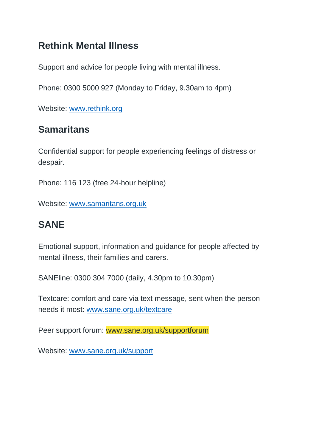#### **Rethink Mental Illness**

Support and advice for people living with mental illness.

Phone: 0300 5000 927 (Monday to Friday, 9.30am to 4pm)

Website: [www.rethink.org](http://www.rethink.org/)

#### **Samaritans**

Confidential support for people experiencing feelings of distress or despair.

Phone: 116 123 (free 24-hour helpline)

Website: [www.samaritans.org.uk](http://www.samaritans.org/)

### **SANE**

Emotional support, information and guidance for people affected by mental illness, their families and carers.

SANEline: 0300 304 7000 (daily, 4.30pm to 10.30pm)

Textcare: comfort and care via text message, sent when the person needs it most: [www.sane.org.uk/textcare](http://www.sane.org.uk/textcare)

Peer support forum: [www.sane.org.uk/supportforum](http://www.sane.org.uk/supportforum)

Website: [www.sane.org.uk/support](http://www.sane.org.uk/support)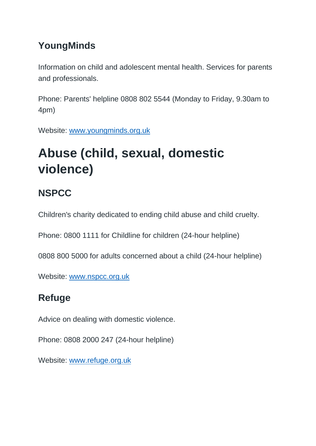#### **YoungMinds**

Information on child and adolescent mental health. Services for parents and professionals.

Phone: Parents' helpline 0808 802 5544 (Monday to Friday, 9.30am to 4pm)

Website: [www.youngminds.org.uk](http://www.youngminds.org.uk/)

# **Abuse (child, sexual, domestic violence)**

### **NSPCC**

Children's charity dedicated to ending child abuse and child cruelty.

Phone: 0800 1111 for Childline for children (24-hour helpline)

0808 800 5000 for adults concerned about a child (24-hour helpline)

Website: [www.nspcc.org.uk](http://www.nspcc.org.uk/)

### **Refuge**

Advice on dealing with domestic violence.

Phone: 0808 2000 247 (24-hour helpline)

Website: [www.refuge.org.uk](http://www.refuge.org.uk/)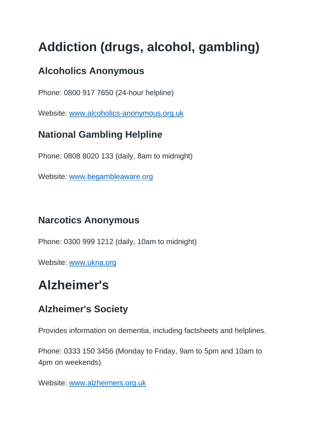# **Addiction (drugs, alcohol, gambling)**

### **Alcoholics Anonymous**

Phone: 0800 917 7650 (24-hour helpline)

Website: [www.alcoholics-anonymous.org.uk](http://www.alcoholics-anonymous.org.uk/)

### **National Gambling Helpline**

Phone: 0808 8020 133 (daily, 8am to midnight)

Website: [www.begambleaware.org](http://www.begambleaware.org/)

### **Narcotics Anonymous**

Phone: 0300 999 1212 (daily, 10am to midnight)

Website: [www.ukna.org](http://www.ukna.org/)

# **Alzheimer's**

### **Alzheimer's Society**

Provides information on dementia, including factsheets and helplines.

Phone: 0333 150 3456 (Monday to Friday, 9am to 5pm and 10am to 4pm on weekends)

Website: [www.alzheimers.org.uk](http://www.alzheimers.org.uk/)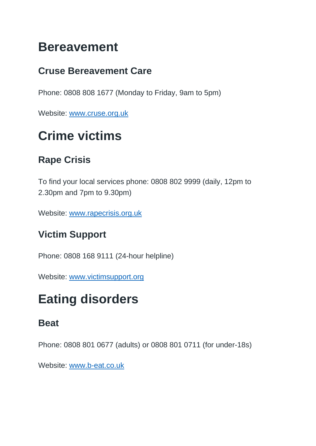## **Bereavement**

### **Cruse Bereavement Care**

Phone: 0808 808 1677 (Monday to Friday, 9am to 5pm)

Website: [www.cruse.org.uk](http://www.cruse.org.uk/home)

# **Crime victims**

### **Rape Crisis**

To find your local services phone: 0808 802 9999 (daily, 12pm to 2.30pm and 7pm to 9.30pm)

Website: [www.rapecrisis.org.uk](http://www.rapecrisis.org.uk/)

#### **Victim Support**

Phone: 0808 168 9111 (24-hour helpline)

Website: [www.victimsupport.org](https://www.victimsupport.org.uk/)

# **Eating disorders**

#### **Beat**

Phone: 0808 801 0677 (adults) or 0808 801 0711 (for under-18s)

Website: [www.b-eat.co.uk](http://www.b-eat.co.uk/)